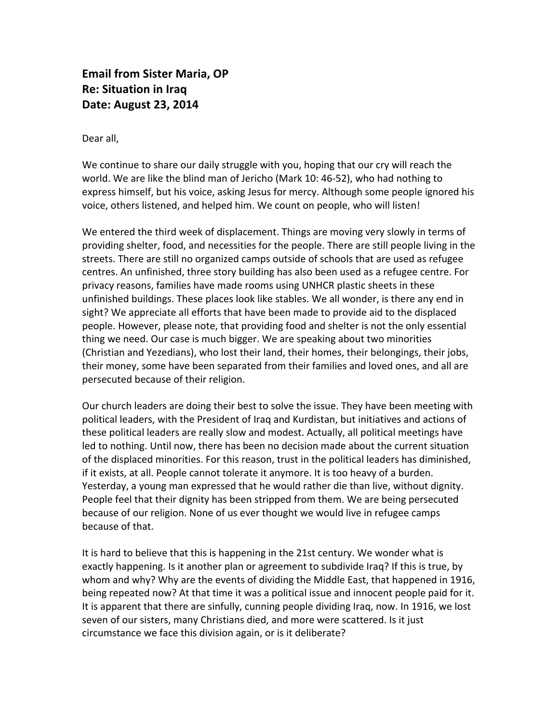**Email from Sister Maria, OP Re: Situation in Iraq Date: August 23, 2014**

Dear all,

We continue to share our daily struggle with you, hoping that our cry will reach the world. We are like the blind man of Jericho (Mark 10: 46-52), who had nothing to express himself, but his voice, asking Jesus for mercy. Although some people ignored his voice, others listened, and helped him. We count on people, who will listen!

We entered the third week of displacement. Things are moving very slowly in terms of providing shelter, food, and necessities for the people. There are still people living in the streets. There are still no organized camps outside of schools that are used as refugee centres. An unfinished, three story building has also been used as a refugee centre. For privacy reasons, families have made rooms using UNHCR plastic sheets in these unfinished buildings. These places look like stables. We all wonder, is there any end in sight? We appreciate all efforts that have been made to provide aid to the displaced people. However, please note, that providing food and shelter is not the only essential thing we need. Our case is much bigger. We are speaking about two minorities (Christian and Yezedians), who lost their land, their homes, their belongings, their jobs, their money, some have been separated from their families and loved ones, and all are persecuted because of their religion.

Our church leaders are doing their best to solve the issue. They have been meeting with political leaders, with the President of Iraq and Kurdistan, but initiatives and actions of these political leaders are really slow and modest. Actually, all political meetings have led to nothing. Until now, there has been no decision made about the current situation of the displaced minorities. For this reason, trust in the political leaders has diminished, if it exists, at all. People cannot tolerate it anymore. It is too heavy of a burden. Yesterday, a young man expressed that he would rather die than live, without dignity. People feel that their dignity has been stripped from them. We are being persecuted because of our religion. None of us ever thought we would live in refugee camps because of that.

It is hard to believe that this is happening in the 21st century. We wonder what is exactly happening. Is it another plan or agreement to subdivide Iraq? If this is true, by whom and why? Why are the events of dividing the Middle East, that happened in 1916, being repeated now? At that time it was a political issue and innocent people paid for it. It is apparent that there are sinfully, cunning people dividing Iraq, now. In 1916, we lost seven of our sisters, many Christians died, and more were scattered. Is it just circumstance we face this division again, or is it deliberate?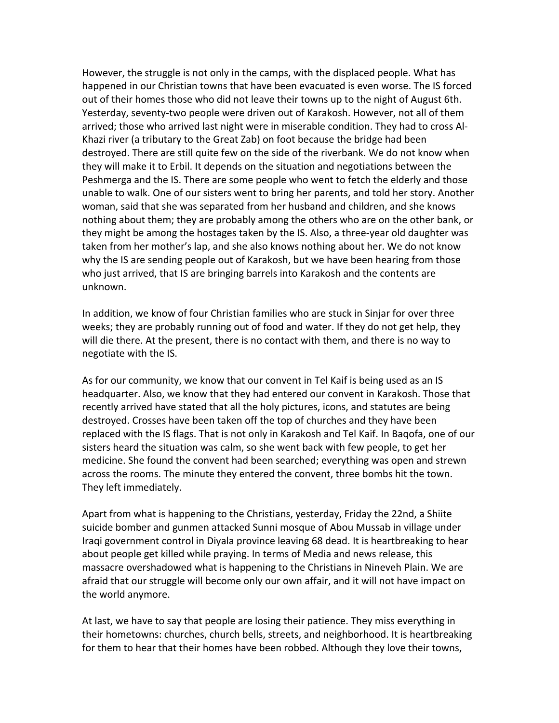However, the struggle is not only in the camps, with the displaced people. What has happened in our Christian towns that have been evacuated is even worse. The IS forced out of their homes those who did not leave their towns up to the night of August 6th. Yesterday, seventy-two people were driven out of Karakosh. However, not all of them arrived; those who arrived last night were in miserable condition. They had to cross Al-Khazi river (a tributary to the Great Zab) on foot because the bridge had been destroyed. There are still quite few on the side of the riverbank. We do not know when they will make it to Erbil. It depends on the situation and negotiations between the Peshmerga and the IS. There are some people who went to fetch the elderly and those unable to walk. One of our sisters went to bring her parents, and told her story. Another woman, said that she was separated from her husband and children, and she knows nothing about them; they are probably among the others who are on the other bank, or they might be among the hostages taken by the IS. Also, a three-year old daughter was taken from her mother's lap, and she also knows nothing about her. We do not know why the IS are sending people out of Karakosh, but we have been hearing from those who just arrived, that IS are bringing barrels into Karakosh and the contents are unknown.

In addition, we know of four Christian families who are stuck in Sinjar for over three weeks; they are probably running out of food and water. If they do not get help, they will die there. At the present, there is no contact with them, and there is no way to negotiate with the IS.

As for our community, we know that our convent in Tel Kaif is being used as an IS headquarter. Also, we know that they had entered our convent in Karakosh. Those that recently arrived have stated that all the holy pictures, icons, and statutes are being destroyed. Crosses have been taken off the top of churches and they have been replaced with the IS flags. That is not only in Karakosh and Tel Kaif. In Bagofa, one of our sisters heard the situation was calm, so she went back with few people, to get her medicine. She found the convent had been searched; everything was open and strewn across the rooms. The minute they entered the convent, three bombs hit the town. They left immediately.

Apart from what is happening to the Christians, yesterday, Friday the 22nd, a Shiite suicide bomber and gunmen attacked Sunni mosque of Abou Mussab in village under Iraqi government control in Diyala province leaving 68 dead. It is heartbreaking to hear about people get killed while praying. In terms of Media and news release, this massacre overshadowed what is happening to the Christians in Nineveh Plain. We are afraid that our struggle will become only our own affair, and it will not have impact on the world anymore.

At last, we have to say that people are losing their patience. They miss everything in their hometowns: churches, church bells, streets, and neighborhood. It is heartbreaking for them to hear that their homes have been robbed. Although they love their towns,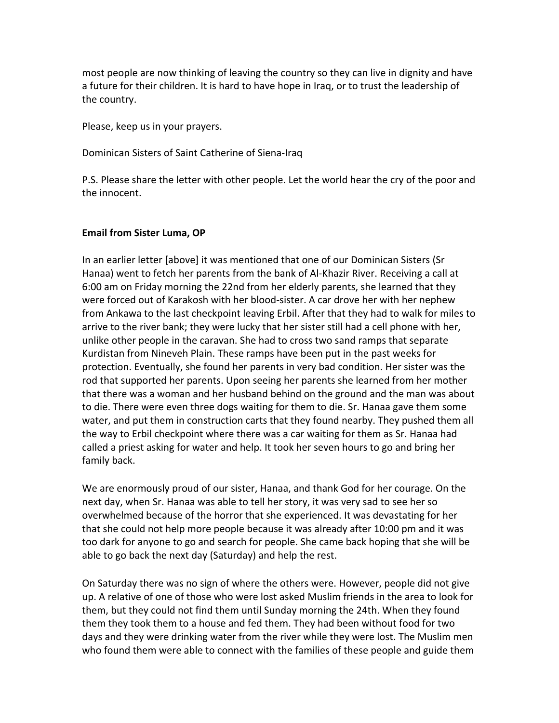most people are now thinking of leaving the country so they can live in dignity and have a future for their children. It is hard to have hope in Iraq, or to trust the leadership of the country.

Please, keep us in your prayers.

Dominican Sisters of Saint Catherine of Siena-Iraq

P.S. Please share the letter with other people. Let the world hear the cry of the poor and the innocent.

## **Email from Sister Luma, OP**

In an earlier letter [above] it was mentioned that one of our Dominican Sisters (Sr Hanaa) went to fetch her parents from the bank of Al-Khazir River. Receiving a call at 6:00 am on Friday morning the 22nd from her elderly parents, she learned that they were forced out of Karakosh with her blood-sister. A car drove her with her nephew from Ankawa to the last checkpoint leaving Erbil. After that they had to walk for miles to arrive to the river bank; they were lucky that her sister still had a cell phone with her, unlike other people in the caravan. She had to cross two sand ramps that separate Kurdistan from Nineveh Plain. These ramps have been put in the past weeks for protection. Eventually, she found her parents in very bad condition. Her sister was the rod that supported her parents. Upon seeing her parents she learned from her mother that there was a woman and her husband behind on the ground and the man was about to die. There were even three dogs waiting for them to die. Sr. Hanaa gave them some water, and put them in construction carts that they found nearby. They pushed them all the way to Erbil checkpoint where there was a car waiting for them as Sr. Hanaa had called a priest asking for water and help. It took her seven hours to go and bring her family back.

We are enormously proud of our sister, Hanaa, and thank God for her courage. On the next day, when Sr. Hanaa was able to tell her story, it was very sad to see her so overwhelmed because of the horror that she experienced. It was devastating for her that she could not help more people because it was already after 10:00 pm and it was too dark for anyone to go and search for people. She came back hoping that she will be able to go back the next day (Saturday) and help the rest.

On Saturday there was no sign of where the others were. However, people did not give up. A relative of one of those who were lost asked Muslim friends in the area to look for them, but they could not find them until Sunday morning the 24th. When they found them they took them to a house and fed them. They had been without food for two days and they were drinking water from the river while they were lost. The Muslim men who found them were able to connect with the families of these people and guide them